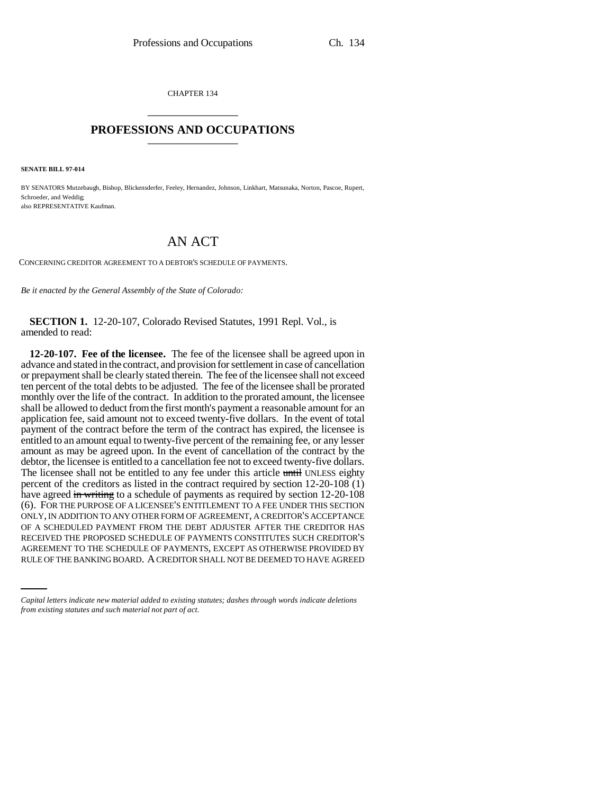CHAPTER 134 \_\_\_\_\_\_\_\_\_\_\_\_\_\_\_

## **PROFESSIONS AND OCCUPATIONS** \_\_\_\_\_\_\_\_\_\_\_\_\_\_\_

**SENATE BILL 97-014**

BY SENATORS Mutzebaugh, Bishop, Blickensderfer, Feeley, Hernandez, Johnson, Linkhart, Matsunaka, Norton, Pascoe, Rupert, Schroeder, and Weddig; also REPRESENTATIVE Kaufman.

## AN ACT

CONCERNING CREDITOR AGREEMENT TO A DEBTOR'S SCHEDULE OF PAYMENTS.

*Be it enacted by the General Assembly of the State of Colorado:*

**SECTION 1.** 12-20-107, Colorado Revised Statutes, 1991 Repl. Vol., is amended to read:

RECEIVED THE PROPOSED SCHEDULE OF PAYMENTS CONSTITUTES SUCH CREDITOR'S **12-20-107. Fee of the licensee.** The fee of the licensee shall be agreed upon in advance and stated in the contract, and provision for settlement in case of cancellation or prepayment shall be clearly stated therein. The fee of the licensee shall not exceed ten percent of the total debts to be adjusted. The fee of the licensee shall be prorated monthly over the life of the contract. In addition to the prorated amount, the licensee shall be allowed to deduct from the first month's payment a reasonable amount for an application fee, said amount not to exceed twenty-five dollars. In the event of total payment of the contract before the term of the contract has expired, the licensee is entitled to an amount equal to twenty-five percent of the remaining fee, or any lesser amount as may be agreed upon. In the event of cancellation of the contract by the debtor, the licensee is entitled to a cancellation fee not to exceed twenty-five dollars. The licensee shall not be entitled to any fee under this article until UNLESS eighty percent of the creditors as listed in the contract required by section 12-20-108 (1) have agreed in writing to a schedule of payments as required by section 12-20-108 (6). FOR THE PURPOSE OF A LICENSEE'S ENTITLEMENT TO A FEE UNDER THIS SECTION ONLY, IN ADDITION TO ANY OTHER FORM OF AGREEMENT, A CREDITOR'S ACCEPTANCE OF A SCHEDULED PAYMENT FROM THE DEBT ADJUSTER AFTER THE CREDITOR HAS AGREEMENT TO THE SCHEDULE OF PAYMENTS, EXCEPT AS OTHERWISE PROVIDED BY RULE OF THE BANKING BOARD. A CREDITOR SHALL NOT BE DEEMED TO HAVE AGREED

*Capital letters indicate new material added to existing statutes; dashes through words indicate deletions from existing statutes and such material not part of act.*